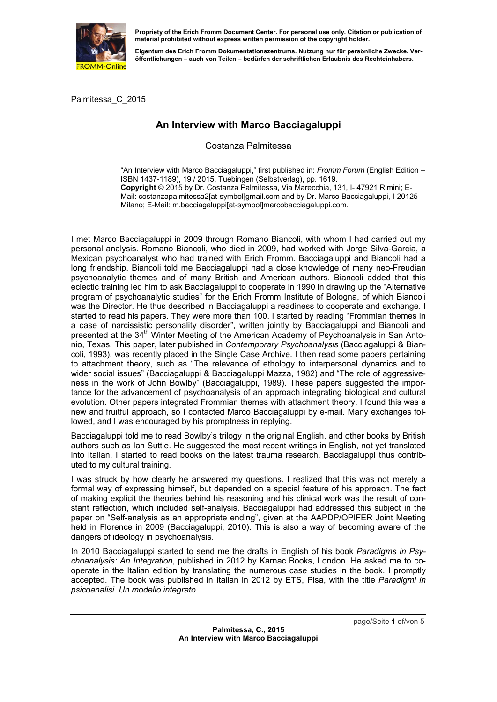

**Eigentum des Erich Fromm Dokumentationszentrums. Nutzung nur für persönliche Zwecke. Veröffentlichungen – auch von Teilen – bedürfen der schriftlichen Erlaubnis des Rechteinhabers.** 

Palmitessa\_C\_2015

## **An Interview with Marco Bacciagaluppi**

Costanza Palmitessa

"An Interview with Marco Bacciagaluppi," first published in: *Fromm Forum* (English Edition – ISBN 1437-1189), 19 / 2015, Tuebingen (Selbstverlag), pp. 1619. **Copyright** © 2015 by Dr. Costanza Palmitessa, Via Marecchia, 131, I- 47921 Rimini; E-Mail: costanzapalmitessa2[at-symbol]gmail.com and by Dr. Marco Bacciagaluppi, I-20125 Milano; E-Mail: m.bacciagaluppi[at-symbol]marcobacciagaluppi.com.

I met Marco Bacciagaluppi in 2009 through Romano Biancoli, with whom I had carried out my personal analysis. Romano Biancoli, who died in 2009, had worked with Jorge Silva-Garcia, a Mexican psychoanalyst who had trained with Erich Fromm. Bacciagaluppi and Biancoli had a long friendship. Biancoli told me Bacciagaluppi had a close knowledge of many neo-Freudian psychoanalytic themes and of many British and American authors. Biancoli added that this eclectic training led him to ask Bacciagaluppi to cooperate in 1990 in drawing up the "Alternative program of psychoanalytic studies" for the Erich Fromm Institute of Bologna, of which Biancoli was the Director. He thus described in Bacciagaluppi a readiness to cooperate and exchange. I started to read his papers. They were more than 100. I started by reading "Frommian themes in a case of narcissistic personality disorder", written jointly by Bacciagaluppi and Biancoli and presented at the  $34<sup>th</sup>$  Winter Meeting of the American Academy of Psychoanalysis in San Antonio, Texas. This paper, later published in *Contemporary Psychoanalysis* (Bacciagaluppi & Biancoli, 1993), was recently placed in the Single Case Archive. I then read some papers pertaining to attachment theory, such as "The relevance of ethology to interpersonal dynamics and to wider social issues" (Bacciagaluppi & Bacciagaluppi Mazza, 1982) and "The role of aggressiveness in the work of John Bowlby" (Bacciagaluppi, 1989). These papers suggested the importance for the advancement of psychoanalysis of an approach integrating biological and cultural evolution. Other papers integrated Frommian themes with attachment theory. I found this was a new and fruitful approach, so I contacted Marco Bacciagaluppi by e-mail. Many exchanges followed, and I was encouraged by his promptness in replying.

Bacciagaluppi told me to read Bowlby's trilogy in the original English, and other books by British authors such as Ian Suttie. He suggested the most recent writings in English, not yet translated into Italian. I started to read books on the latest trauma research. Bacciagaluppi thus contributed to my cultural training.

I was struck by how clearly he answered my questions. I realized that this was not merely a formal way of expressing himself, but depended on a special feature of his approach. The fact of making explicit the theories behind his reasoning and his clinical work was the result of constant reflection, which included self-analysis. Bacciagaluppi had addressed this subject in the paper on "Self-analysis as an appropriate ending", given at the AAPDP/OPIFER Joint Meeting held in Florence in 2009 (Bacciagaluppi, 2010). This is also a way of becoming aware of the dangers of ideology in psychoanalysis.

In 2010 Bacciagaluppi started to send me the drafts in English of his book *Paradigms in Psychoanalysis: An Integration*, published in 2012 by Karnac Books, London. He asked me to cooperate in the Italian edition by translating the numerous case studies in the book. I promptly accepted. The book was published in Italian in 2012 by ETS, Pisa, with the title *Paradigmi in psicoanalisi. Un modello integrato*.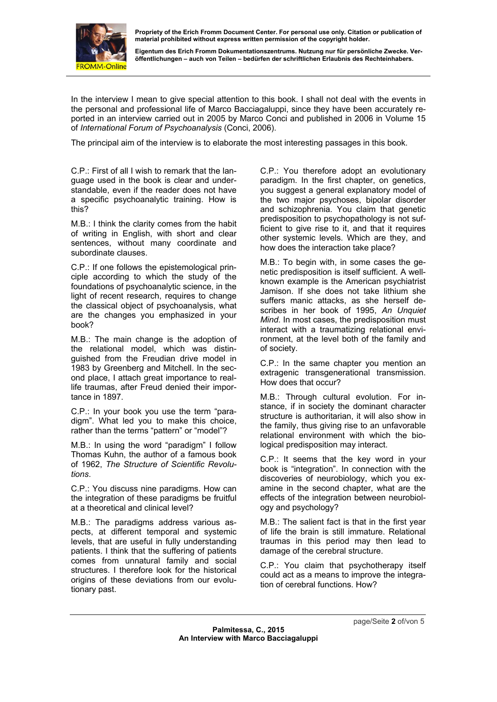

**Eigentum des Erich Fromm Dokumentationszentrums. Nutzung nur für persönliche Zwecke. Veröffentlichungen – auch von Teilen – bedürfen der schriftlichen Erlaubnis des Rechteinhabers.** 

In the interview I mean to give special attention to this book. I shall not deal with the events in the personal and professional life of Marco Bacciagaluppi, since they have been accurately reported in an interview carried out in 2005 by Marco Conci and published in 2006 in Volume 15 of *International Forum of Psychoanalysis* (Conci, 2006).

The principal aim of the interview is to elaborate the most interesting passages in this book.

C.P.: First of all I wish to remark that the language used in the book is clear and understandable, even if the reader does not have a specific psychoanalytic training. How is this?

M.B.: I think the clarity comes from the habit of writing in English, with short and clear sentences, without many coordinate and subordinate clauses.

C.P.: If one follows the epistemological principle according to which the study of the foundations of psychoanalytic science, in the light of recent research, requires to change the classical object of psychoanalysis, what are the changes you emphasized in your book?

M.B.: The main change is the adoption of the relational model, which was distinguished from the Freudian drive model in 1983 by Greenberg and Mitchell. In the second place, I attach great importance to reallife traumas, after Freud denied their importance in 1897.

C.P.: In your book you use the term "paradigm". What led you to make this choice, rather than the terms "pattern" or "model"?

M.B.: In using the word "paradigm" I follow Thomas Kuhn, the author of a famous book of 1962, *The Structure of Scientific Revolutions*.

C.P.: You discuss nine paradigms. How can the integration of these paradigms be fruitful at a theoretical and clinical level?

M.B.: The paradigms address various aspects, at different temporal and systemic levels, that are useful in fully understanding patients. I think that the suffering of patients comes from unnatural family and social structures. I therefore look for the historical origins of these deviations from our evolutionary past.

C.P.: You therefore adopt an evolutionary paradigm. In the first chapter, on genetics, you suggest a general explanatory model of the two major psychoses, bipolar disorder and schizophrenia. You claim that genetic predisposition to psychopathology is not sufficient to give rise to it, and that it requires other systemic levels. Which are they, and how does the interaction take place?

M.B.: To begin with, in some cases the genetic predisposition is itself sufficient. A wellknown example is the American psychiatrist Jamison. If she does not take lithium she suffers manic attacks, as she herself describes in her book of 1995, *An Unquiet Mind*. In most cases, the predisposition must interact with a traumatizing relational environment, at the level both of the family and of society.

C.P.: In the same chapter you mention an extragenic transgenerational transmission. How does that occur?

M.B.: Through cultural evolution. For instance, if in society the dominant character structure is authoritarian, it will also show in the family, thus giving rise to an unfavorable relational environment with which the biological predisposition may interact.

C.P.: It seems that the key word in your book is "integration". In connection with the discoveries of neurobiology, which you examine in the second chapter, what are the effects of the integration between neurobiology and psychology?

M.B.: The salient fact is that in the first year of life the brain is still immature. Relational traumas in this period may then lead to damage of the cerebral structure.

C.P.: You claim that psychotherapy itself could act as a means to improve the integration of cerebral functions. How?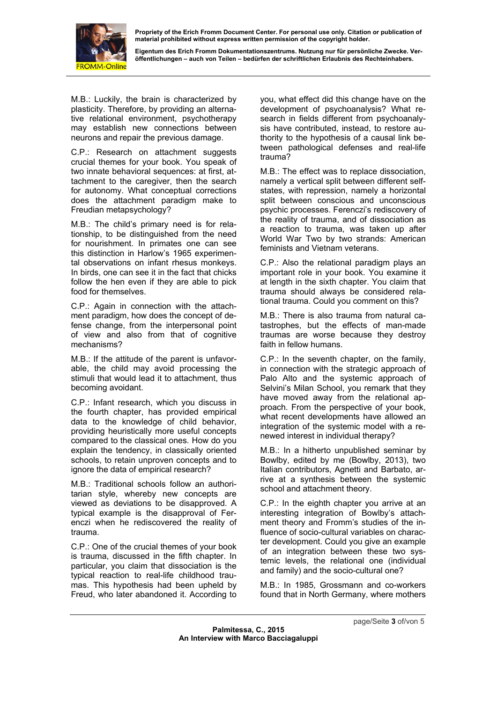

**Eigentum des Erich Fromm Dokumentationszentrums. Nutzung nur für persönliche Zwecke. Veröffentlichungen – auch von Teilen – bedürfen der schriftlichen Erlaubnis des Rechteinhabers.** 

M.B.: Luckily, the brain is characterized by plasticity. Therefore, by providing an alternative relational environment, psychotherapy may establish new connections between neurons and repair the previous damage.

C.P.: Research on attachment suggests crucial themes for your book. You speak of two innate behavioral sequences: at first, attachment to the caregiver, then the search for autonomy. What conceptual corrections does the attachment paradigm make to Freudian metapsychology?

M.B.: The child's primary need is for relationship, to be distinguished from the need for nourishment. In primates one can see this distinction in Harlow's 1965 experimental observations on infant rhesus monkeys. In birds, one can see it in the fact that chicks follow the hen even if they are able to pick food for themselves.

C.P.: Again in connection with the attachment paradigm, how does the concept of defense change, from the interpersonal point of view and also from that of cognitive mechanisms?

M.B.: If the attitude of the parent is unfavorable, the child may avoid processing the stimuli that would lead it to attachment, thus becoming avoidant.

C.P.: Infant research, which you discuss in the fourth chapter, has provided empirical data to the knowledge of child behavior, providing heuristically more useful concepts compared to the classical ones. How do you explain the tendency, in classically oriented schools, to retain unproven concepts and to ignore the data of empirical research?

M.B.: Traditional schools follow an authoritarian style, whereby new concepts are viewed as deviations to be disapproved. A typical example is the disapproval of Ferenczi when he rediscovered the reality of trauma.

C.P.: One of the crucial themes of your book is trauma, discussed in the fifth chapter. In particular, you claim that dissociation is the typical reaction to real-life childhood traumas. This hypothesis had been upheld by Freud, who later abandoned it. According to you, what effect did this change have on the development of psychoanalysis? What research in fields different from psychoanalysis have contributed, instead, to restore authority to the hypothesis of a causal link between pathological defenses and real-life trauma?

M.B.: The effect was to replace dissociation, namely a vertical split between different selfstates, with repression, namely a horizontal split between conscious and unconscious psychic processes. Ferenczi's rediscovery of the reality of trauma, and of dissociation as a reaction to trauma, was taken up after World War Two by two strands: American feminists and Vietnam veterans.

C.P.: Also the relational paradigm plays an important role in your book. You examine it at length in the sixth chapter. You claim that trauma should always be considered relational trauma. Could you comment on this?

M.B.: There is also trauma from natural catastrophes, but the effects of man-made traumas are worse because they destroy faith in fellow humans.

C.P.: In the seventh chapter, on the family, in connection with the strategic approach of Palo Alto and the systemic approach of Selvini's Milan School, you remark that they have moved away from the relational approach. From the perspective of your book, what recent developments have allowed an integration of the systemic model with a renewed interest in individual therapy?

M.B.: In a hitherto unpublished seminar by Bowlby, edited by me (Bowlby, 2013), two Italian contributors, Agnetti and Barbato, arrive at a synthesis between the systemic school and attachment theory.

C.P.: In the eighth chapter you arrive at an interesting integration of Bowlby's attachment theory and Fromm's studies of the influence of socio-cultural variables on character development. Could you give an example of an integration between these two systemic levels, the relational one (individual and family) and the socio-cultural one?

M.B.: In 1985, Grossmann and co-workers found that in North Germany, where mothers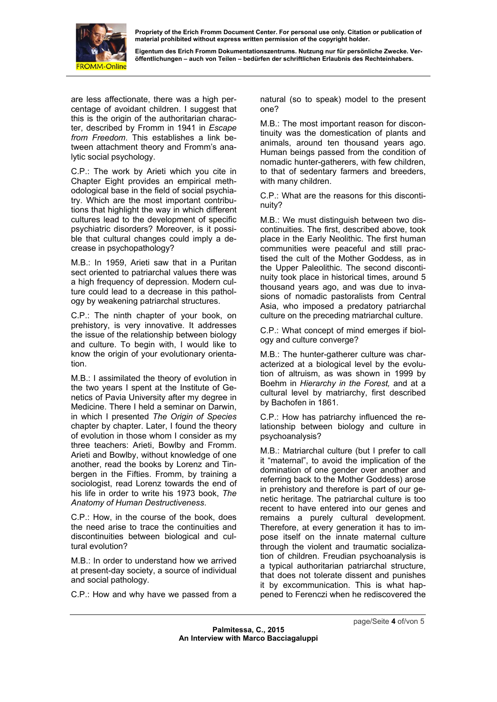

**Eigentum des Erich Fromm Dokumentationszentrums. Nutzung nur für persönliche Zwecke. Veröffentlichungen – auch von Teilen – bedürfen der schriftlichen Erlaubnis des Rechteinhabers.** 

are less affectionate, there was a high percentage of avoidant children. I suggest that this is the origin of the authoritarian character, described by Fromm in 1941 in *Escape from Freedom*. This establishes a link between attachment theory and Fromm's analytic social psychology.

C.P.: The work by Arieti which you cite in Chapter Eight provides an empirical methodological base in the field of social psychiatry. Which are the most important contributions that highlight the way in which different cultures lead to the development of specific psychiatric disorders? Moreover, is it possible that cultural changes could imply a decrease in psychopathology?

M.B.: In 1959, Arieti saw that in a Puritan sect oriented to patriarchal values there was a high frequency of depression. Modern culture could lead to a decrease in this pathology by weakening patriarchal structures.

C.P.: The ninth chapter of your book, on prehistory, is very innovative. It addresses the issue of the relationship between biology and culture. To begin with, I would like to know the origin of your evolutionary orientation.

M.B.: I assimilated the theory of evolution in the two years I spent at the Institute of Genetics of Pavia University after my degree in Medicine. There I held a seminar on Darwin, in which I presented *The Origin of Species* chapter by chapter. Later, I found the theory of evolution in those whom I consider as my three teachers: Arieti, Bowlby and Fromm. Arieti and Bowlby, without knowledge of one another, read the books by Lorenz and Tinbergen in the Fifties. Fromm, by training a sociologist, read Lorenz towards the end of his life in order to write his 1973 book, *The Anatomy of Human Destructiveness*.

C.P.: How, in the course of the book, does the need arise to trace the continuities and discontinuities between biological and cultural evolution?

M.B.: In order to understand how we arrived at present-day society, a source of individual and social pathology.

C.P.: How and why have we passed from a

natural (so to speak) model to the present one?

M.B.: The most important reason for discontinuity was the domestication of plants and animals, around ten thousand years ago. Human beings passed from the condition of nomadic hunter-gatherers, with few children, to that of sedentary farmers and breeders, with many children.

C.P.: What are the reasons for this discontinuity?

M.B.: We must distinguish between two discontinuities. The first, described above, took place in the Early Neolithic. The first human communities were peaceful and still practised the cult of the Mother Goddess, as in the Upper Paleolithic. The second discontinuity took place in historical times, around 5 thousand years ago, and was due to invasions of nomadic pastoralists from Central Asia, who imposed a predatory patriarchal culture on the preceding matriarchal culture.

C.P.: What concept of mind emerges if biology and culture converge?

M.B.: The hunter-gatherer culture was characterized at a biological level by the evolution of altruism, as was shown in 1999 by Boehm in *Hierarchy in the Forest,* and at a cultural level by matriarchy, first described by Bachofen in 1861.

C.P.: How has patriarchy influenced the relationship between biology and culture in psychoanalysis?

M.B.: Matriarchal culture (but I prefer to call it "maternal", to avoid the implication of the domination of one gender over another and referring back to the Mother Goddess) arose in prehistory and therefore is part of our genetic heritage. The patriarchal culture is too recent to have entered into our genes and remains a purely cultural development. Therefore, at every generation it has to impose itself on the innate maternal culture through the violent and traumatic socialization of children. Freudian psychoanalysis is a typical authoritarian patriarchal structure, that does not tolerate dissent and punishes it by excommunication. This is what happened to Ferenczi when he rediscovered the